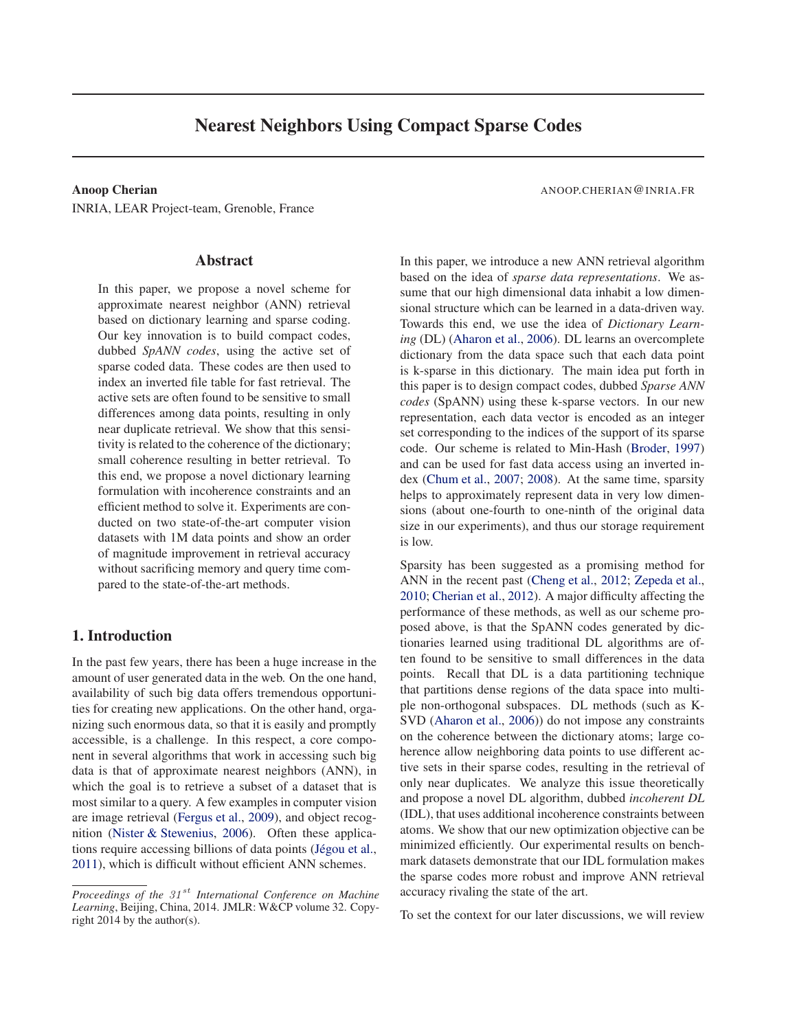# **Nearest Neighbors Using Compact Sparse Codes**

INRIA, LEAR Project-team, Grenoble, France

#### **Abstract**

In this paper, we propose a novel scheme for approximate nearest neighbor (ANN) retrieval based on dictionary learning and sparse coding. Our key innovation is to build compact codes, dubbed *SpANN codes*, using the active set of sparse coded data. These codes are then used to index an inverted file table for fast retrieval. The active sets are often found to be sensitive to small differences among data points, resulting in only near duplicate retrieval. We show that this sensitivity is related to the coherence of the dictionary; small coherence resulting in better retrieval. To this end, we propose a novel dictionary learning formulation with incoherence constraints and an efficient method to solve it. Experiments are conducted on two state-of-the-art computer vision datasets with 1M data points and show an order of magnitude improvement in retrieval accuracy without sacrificing memory and query time compared to the state-of-the-art methods.

## **1. Introduction**

In the past few years, there has been a huge increase in the amount of user generated data in the web. On the one hand, availability of such big data offers tremendous opportunities for creating new applications. On the other hand, organizing such enormous data, so that it is easily and promptly accessible, is a challenge. In this respect, a core component in several algorithms that work in accessing such big data is that of approximate nearest neighbors (ANN), in which the goal is to retrieve a subset of a dataset that is most similar to a query. A few examples in computer vision are image retrieval [\(Fergus et al.](#page-8-0), [2009\)](#page-8-0), and object recognition [\(Nister & Stewenius](#page-8-0), [2006\)](#page-8-0). Often these applications require accessing billions of data points (Jégou et al., [2011](#page-8-0)), which is difficult without efficient ANN schemes.

#### **Anoop Cherian** ANOOP.CHERIAN @INRIA.FR

In this paper, we introduce a new ANN retrieval algorithm based on the idea of *sparse data representations*. We assume that our high dimensional data inhabit a low dimensional structure which can be learned in a data-driven way. Towards this end, we use the idea of *Dictionary Learning* (DL) [\(Aharon et al.](#page-7-0), [2006\)](#page-7-0). DL learns an overcomplete dictionary from the data space such that each data point is k-sparse in this dictionary. The main idea put forth in this paper is to design compact codes, dubbed *Sparse ANN codes* (SpANN) using these k-sparse vectors. In our new representation, each data vector is encoded as an integer set corresponding to the indices of the support of its sparse code. Our scheme is related to Min-Hash [\(Broder](#page-7-0), [1997](#page-7-0)) and can be used for fast data access using an inverted index [\(Chum et al.](#page-8-0), [2007;](#page-8-0) [2008](#page-8-0)). At the same time, sparsity helps to approximately represent data in very low dimensions (about one-fourth to one-ninth of the original data size in our experiments), and thus our storage requirement is low.

Sparsity has been suggested as a promising method for ANN in the recent past [\(Cheng et al.](#page-7-0), [2012;](#page-7-0) [Zepeda et al.,](#page-8-0) [2010](#page-8-0); [Cherian et al.,](#page-8-0) [2012](#page-8-0)). A major difficulty affecting the performance of these methods, as well as our scheme proposed above, is that the SpANN codes generated by dictionaries learned using traditional DL algorithms are often found to be sensitive to small differences in the data points. Recall that DL is a data partitioning technique that partitions dense regions of the data space into multiple non-orthogonal subspaces. DL methods (such as K-SVD [\(Aharon et al.](#page-7-0), [2006\)](#page-7-0)) do not impose any constraints on the coherence between the dictionary atoms; large coherence allow neighboring data points to use different active sets in their sparse codes, resulting in the retrieval of only near duplicates. We analyze this issue theoretically and propose a novel DL algorithm, dubbed *incoherent DL* (IDL), that uses additional incoherence constraints between atoms. We show that our new optimization objective can be minimized efficiently. Our experimental results on benchmark datasets demonstrate that our IDL formulation makes the sparse codes more robust and improve ANN retrieval accuracy rivaling the state of the art.

To set the context for our later discussions, we will review

*Proceedings of the 31<sup>st</sup> International Conference on Machine Learning*, Beijing, China, 2014. JMLR: W&CP volume 32. Copyright 2014 by the author(s).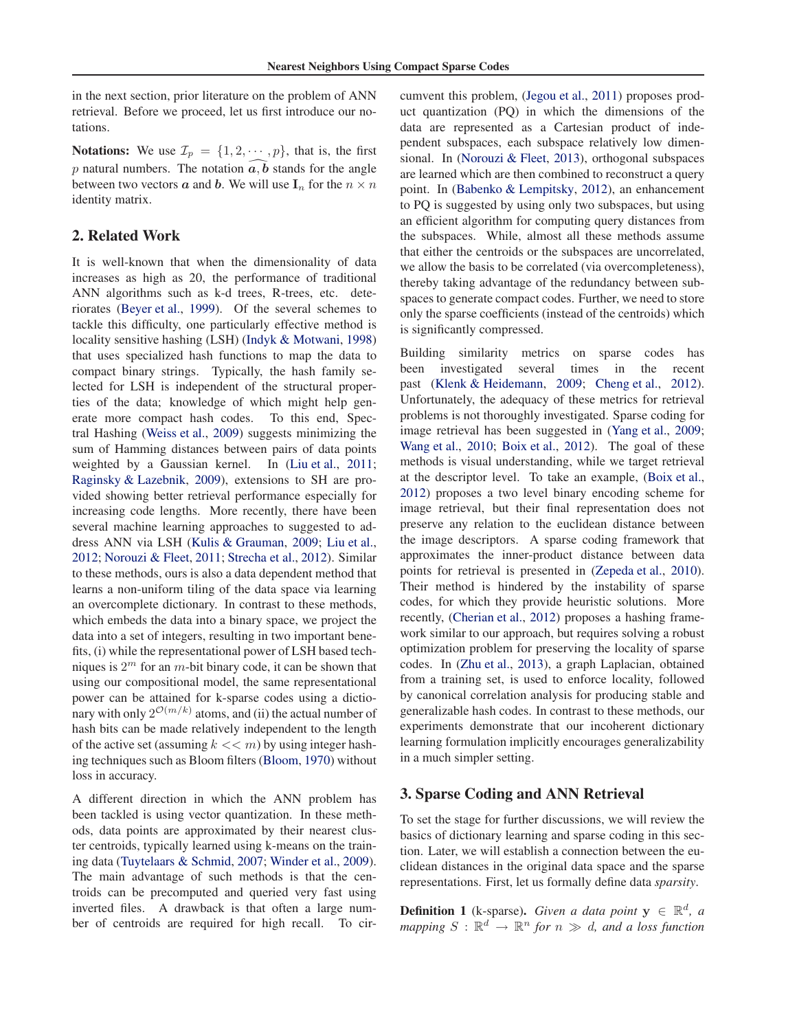in the next section, prior literature on the problem of ANN retrieval. Before we proceed, let us first introduce our notations.

**Notations:** We use  $\mathcal{I}_p = \{1, 2, \dots, p\}$ , that is, the first p natural numbers. The notation  $a, b$  stands for the angle between two vectors  $\boldsymbol{a}$  and  $\boldsymbol{b}$ . We will use  $\mathbf{I}_n$  for the  $n \times n$ identity matrix.

#### **2. Related Work**

It is well-known that when the dimensionality of data increases as high as 20, the performance of traditional ANN algorithms such as k-d trees, R-trees, etc. deteriorates [\(Beyer et al.,](#page-7-0) [1999](#page-7-0)). Of the several schemes to tackle this difficulty, one particularly effective method is locality sensitive hashing (LSH) [\(Indyk & Motwani](#page-8-0), [1998](#page-8-0)) that uses specialized hash functions to map the data to compact binary strings. Typically, the hash family selected for LSH is independent of the structural properties of the data; knowledge of which might help generate more compact hash codes. To this end, Spectral Hashing [\(Weiss et al.,](#page-8-0) [2009\)](#page-8-0) suggests minimizing the sum of Hamming distances between pairs of data points weighted by a Gaussian kernel. In [\(Liu et al.,](#page-8-0) [2011;](#page-8-0) [Raginsky & Lazebnik,](#page-8-0) [2009\)](#page-8-0), extensions to SH are provided showing better retrieval performance especially for increasing code lengths. More recently, there have been several machine learning approaches to suggested to address ANN via LSH [\(Kulis & Grauman](#page-8-0), [2009;](#page-8-0) [Liu et al.,](#page-8-0) [2012](#page-8-0); [Norouzi & Fleet,](#page-8-0) [2011](#page-8-0); [Strecha et al.,](#page-8-0) [2012](#page-8-0)). Similar to these methods, ours is also a data dependent method that learns a non-uniform tiling of the data space via learning an overcomplete dictionary. In contrast to these methods, which embeds the data into a binary space, we project the data into a set of integers, resulting in two important benefits, (i) while the representational power of LSH based techniques is  $2^m$  for an m-bit binary code, it can be shown that using our compositional model, the same representational power can be attained for k-sparse codes using a dictionary with only  $2^{\mathcal{O}(m/k)}$  atoms, and (ii) the actual number of hash bits can be made relatively independent to the length of the active set (assuming  $k \ll m$ ) by using integer hashing techniques such as Bloom filters [\(Bloom](#page-7-0), [1970\)](#page-7-0) without loss in accuracy.

A different direction in which the ANN problem has been tackled is using vector quantization. In these methods, data points are approximated by their nearest cluster centroids, typically learned using k-means on the training data [\(Tuytelaars & Schmid,](#page-8-0) [2007](#page-8-0); [Winder et al.,](#page-8-0) [2009\)](#page-8-0). The main advantage of such methods is that the centroids can be precomputed and queried very fast using inverted files. A drawback is that often a large number of centroids are required for high recall. To circumvent this problem, [\(Jegou et al.](#page-8-0), [2011\)](#page-8-0) proposes product quantization (PQ) in which the dimensions of the data are represented as a Cartesian product of independent subspaces, each subspace relatively low dimensional. In [\(Norouzi & Fleet,](#page-8-0) [2013\)](#page-8-0), orthogonal subspaces are learned which are then combined to reconstruct a query point. In [\(Babenko & Lempitsky](#page-7-0), [2012\)](#page-7-0), an enhancement to PQ is suggested by using only two subspaces, but using an efficient algorithm for computing query distances from the subspaces. While, almost all these methods assume that either the centroids or the subspaces are uncorrelated, we allow the basis to be correlated (via overcompleteness), thereby taking advantage of the redundancy between subspaces to generate compact codes. Further, we need to store only the sparse coefficients (instead of the centroids) which is significantly compressed.

Building similarity metrics on sparse codes has been investigated several times in the recent past [\(Klenk & Heidemann](#page-8-0), [2009](#page-8-0); [Cheng et al.,](#page-7-0) [2012\)](#page-7-0). Unfortunately, the adequacy of these metrics for retrieval problems is not thoroughly investigated. Sparse coding for image retrieval has been suggested in [\(Yang et al.](#page-8-0), [2009;](#page-8-0) [Wang et al.](#page-8-0), [2010;](#page-8-0) [Boix et al.](#page-7-0), [2012\)](#page-7-0). The goal of these methods is visual understanding, while we target retrieval at the descriptor level. To take an example, [\(Boix et al.,](#page-7-0) [2012](#page-7-0)) proposes a two level binary encoding scheme for image retrieval, but their final representation does not preserve any relation to the euclidean distance between the image descriptors. A sparse coding framework that approximates the inner-product distance between data points for retrieval is presented in [\(Zepeda et al.,](#page-8-0) [2010\)](#page-8-0). Their method is hindered by the instability of sparse codes, for which they provide heuristic solutions. More recently, [\(Cherian et al.](#page-8-0), [2012](#page-8-0)) proposes a hashing framework similar to our approach, but requires solving a robust optimization problem for preserving the locality of sparse codes. In [\(Zhu et al.,](#page-8-0) [2013\)](#page-8-0), a graph Laplacian, obtained from a training set, is used to enforce locality, followed by canonical correlation analysis for producing stable and generalizable hash codes. In contrast to these methods, our experiments demonstrate that our incoherent dictionary learning formulation implicitly encourages generalizability in a much simpler setting.

#### **3. Sparse Coding and ANN Retrieval**

To set the stage for further discussions, we will review the basics of dictionary learning and sparse coding in this section. Later, we will establish a connection between the euclidean distances in the original data space and the sparse representations. First, let us formally define data *sparsity*.

**Definition 1** (k-sparse). *Given a data point*  $y \in \mathbb{R}^d$ , *a*  $mapping S: \mathbb{R}^d \to \mathbb{R}^n$  *for*  $n \gg d$ , and a loss function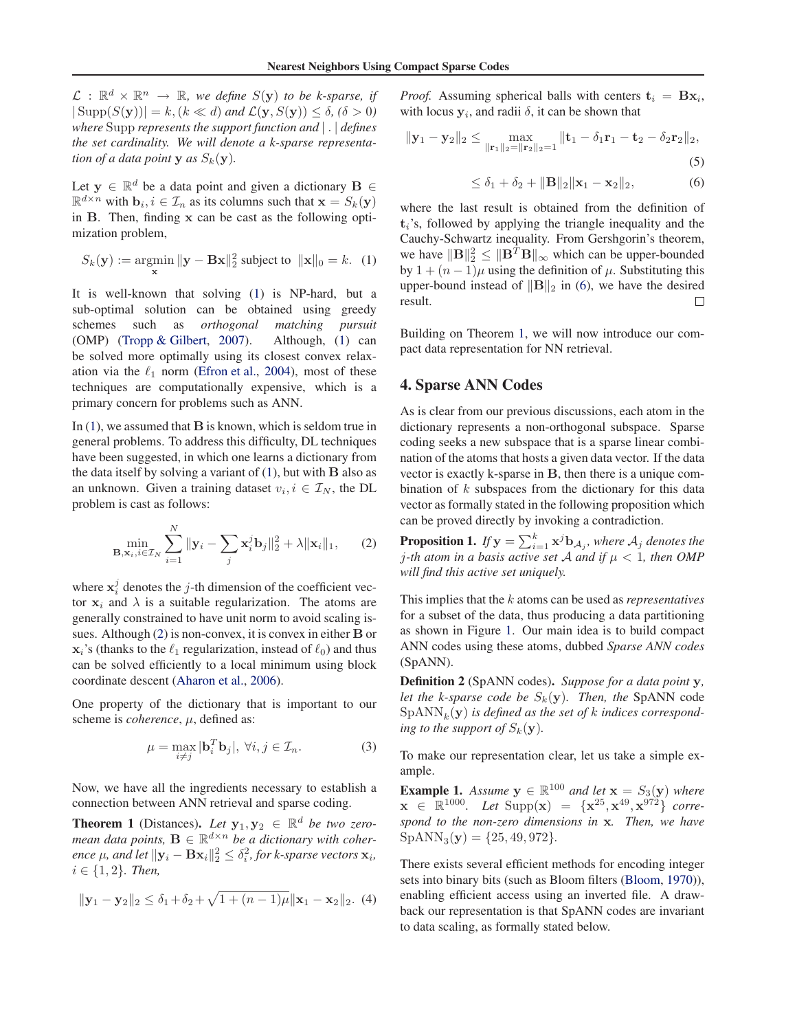<span id="page-2-0"></span> $\mathcal{L}$  :  $\mathbb{R}^d \times \mathbb{R}^n \to \mathbb{R}$ , we define  $S(\mathbf{y})$  to be k-sparse, if  $|\operatorname{Supp}(S(\mathbf{y}))| = k, (k \ll d)$  *and*  $\mathcal{L}(\mathbf{y}, S(\mathbf{y})) \leq \delta, (\delta > 0)$ *where* Supp *represents the support function and* | . | *defines the set cardinality. We will denote a k-sparse representation of a data point* **y** *as*  $S_k(\mathbf{y})$ *.* 

Let  $y \in \mathbb{R}^d$  be a data point and given a dictionary  $B \in$  $\mathbb{R}^{d \times n}$  with  $\mathbf{b}_i, i \in \mathcal{I}_n$  as its columns such that  $\mathbf{x} = S_k(\mathbf{y})$ in B. Then, finding x can be cast as the following optimization problem,

$$
S_k(\mathbf{y}) := \operatorname*{argmin}_{\mathbf{x}} \|\mathbf{y} - \mathbf{B}\mathbf{x}\|_2^2 \text{ subject to } \|\mathbf{x}\|_0 = k. \tag{1}
$$

It is well-known that solving (1) is NP-hard, but a sub-optimal solution can be obtained using greedy schemes such as *orthogonal matching pursuit* (OMP) [\(Tropp & Gilbert,](#page-8-0) [2007](#page-8-0)). Although, (1) can be solved more optimally using its closest convex relaxation via the  $\ell_1$  norm [\(Efron et al.,](#page-8-0) [2004](#page-8-0)), most of these techniques are computationally expensive, which is a primary concern for problems such as ANN.

In  $(1)$ , we assumed that **B** is known, which is seldom true in general problems. To address this difficulty, DL techniques have been suggested, in which one learns a dictionary from the data itself by solving a variant of  $(1)$ , but with  $\bf{B}$  also as an unknown. Given a training dataset  $v_i, i \in \mathcal{I}_N$ , the DL problem is cast as follows:

$$
\min_{\mathbf{B}, \mathbf{x}_i, i \in \mathcal{I}_N} \sum_{i=1}^N \|\mathbf{y}_i - \sum_j \mathbf{x}_i^j \mathbf{b}_j\|_2^2 + \lambda \|\mathbf{x}_i\|_1, \qquad (2)
$$

where  $x_i^j$  denotes the j-th dimension of the coefficient vector  $x_i$  and  $\lambda$  is a suitable regularization. The atoms are generally constrained to have unit norm to avoid scaling issues. Although (2) is non-convex, it is convex in either **B** or  $x_i$ 's (thanks to the  $\ell_1$  regularization, instead of  $\ell_0$ ) and thus can be solved efficiently to a local minimum using block coordinate descent [\(Aharon et al.](#page-7-0), [2006](#page-7-0)).

One property of the dictionary that is important to our scheme is *coherence*,  $\mu$ , defined as:

$$
\mu = \max_{i \neq j} |\mathbf{b}_i^T \mathbf{b}_j|, \ \forall i, j \in \mathcal{I}_n. \tag{3}
$$

Now, we have all the ingredients necessary to establish a connection between ANN retrieval and sparse coding.

**Theorem 1** (Distances). Let  $y_1, y_2 \in \mathbb{R}^d$  be two zero*mean data points,*  $\mathbf{B} \in \mathbb{R}^{d \times n}$  *be a dictionary with coherence*  $\mu$ , and let  $\|\mathbf{y}_i - \mathbf{B}\mathbf{x}_i\|_2^2 \leq \delta_i^2$ , for k-sparse vectors  $\mathbf{x}_i$ ,  $i \in \{1, 2\}$ *. Then,* 

$$
\|\mathbf{y}_1 - \mathbf{y}_2\|_2 \le \delta_1 + \delta_2 + \sqrt{1 + (n-1)\mu} \|\mathbf{x}_1 - \mathbf{x}_2\|_2.
$$
 (4)

*Proof.* Assuming spherical balls with centers  $\mathbf{t}_i = \mathbf{B}\mathbf{x}_i$ , with locus  $y_i$ , and radii  $\delta$ , it can be shown that

$$
\|\mathbf{y}_1 - \mathbf{y}_2\|_2 \le \max_{\|\mathbf{r}_1\|_2 = \|\mathbf{r}_2\|_2 = 1} \|\mathbf{t}_1 - \delta_1 \mathbf{r}_1 - \mathbf{t}_2 - \delta_2 \mathbf{r}_2\|_2,
$$
\n(5)

$$
\leq \delta_1 + \delta_2 + ||\mathbf{B}||_2 ||\mathbf{x}_1 - \mathbf{x}_2||_2, \tag{6}
$$

where the last result is obtained from the definition of  $t_i$ 's, followed by applying the triangle inequality and the Cauchy-Schwartz inequality. From Gershgorin's theorem, we have  $\|\mathbf{B}\|_{2}^{2} \leq \|\mathbf{B}^{T}\mathbf{B}\|_{\infty}$  which can be upper-bounded by  $1 + (n - 1)\mu$  using the definition of  $\mu$ . Substituting this upper-bound instead of  $\|\mathbf{B}\|_2$  in (6), we have the desired result.  $\Box$ 

Building on Theorem 1, we will now introduce our compact data representation for NN retrieval.

#### **4. Sparse ANN Codes**

As is clear from our previous discussions, each atom in the dictionary represents a non-orthogonal subspace. Sparse coding seeks a new subspace that is a sparse linear combination of the atoms that hosts a given data vector. If the data vector is exactly k-sparse in B, then there is a unique combination of  $k$  subspaces from the dictionary for this data vector as formally stated in the following proposition which can be proved directly by invoking a contradiction.

**Proposition 1.** If  $\mathbf{y} = \sum_{i=1}^k \mathbf{x}^j \mathbf{b}_{\mathcal{A}_j}$ , where  $\mathcal{A}_j$  denotes the *j*-th atom in a basis active set A and if  $\mu$  < 1, then OMP *will find this active set uniquely.*

This implies that the k atoms can be used as *representatives* for a subset of the data, thus producing a data partitioning as shown in Figure [1.](#page-3-0) Our main idea is to build compact ANN codes using these atoms, dubbed *Sparse ANN codes* (SpANN).

**Definition 2** (SpANN codes)**.** *Suppose for a data point* y*, let the k-sparse code be*  $S_k(y)$ *. Then, the* SpANN code  $\mathrm{SpANN}_k(\mathbf{y})$  *is defined as the set of k indices corresponding to the support of*  $S_k(\mathbf{y})$ *.* 

To make our representation clear, let us take a simple example.

**Example 1.** *Assume*  $y \in \mathbb{R}^{100}$  *and let*  $x = S_3(y)$  *where*  $\mathbf{x} \in \mathbb{R}^{1000}$ . Let  $\text{Supp}(\mathbf{x}) = {\mathbf{x}^{25}, \mathbf{x}^{49}, \mathbf{x}^{972}}$  *correspond to the non-zero dimensions in* x*. Then, we have*  $SpANN<sub>3</sub>(**y**) = {25, 49, 972}.$ 

There exists several efficient methods for encoding integer sets into binary bits (such as Bloom filters [\(Bloom](#page-7-0), [1970](#page-7-0))), enabling efficient access using an inverted file. A drawback our representation is that SpANN codes are invariant to data scaling, as formally stated below.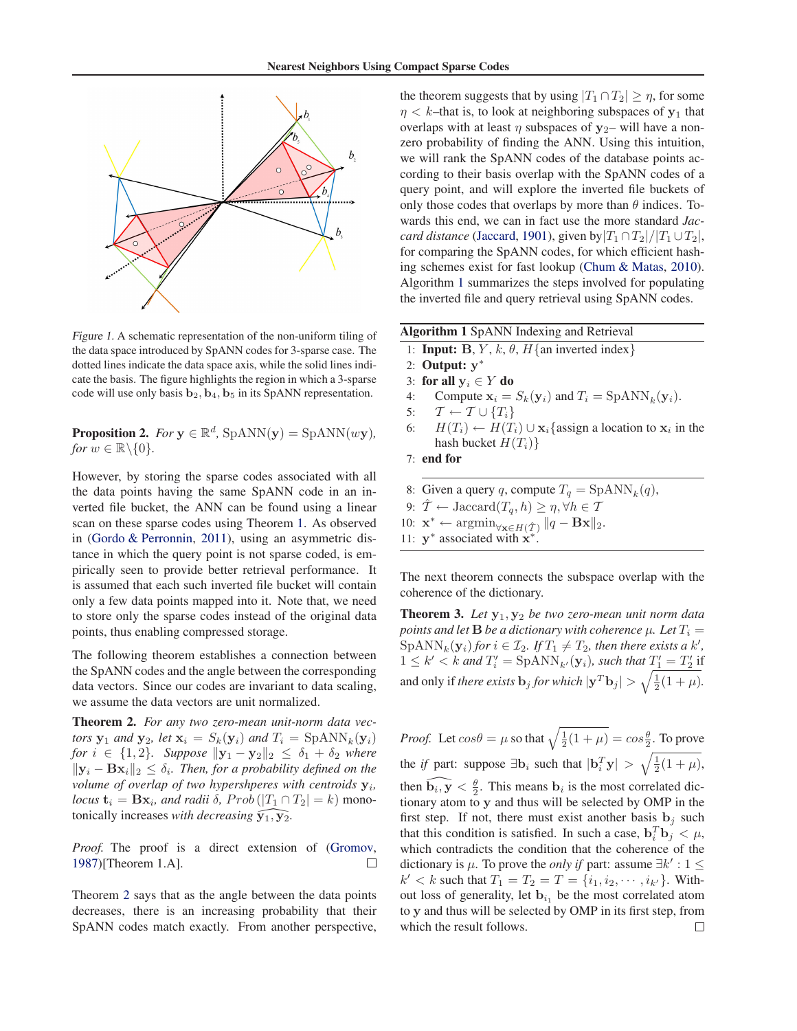<span id="page-3-0"></span>

Figure 1. A schematic representation of the non-uniform tiling of the data space introduced by SpANN codes for 3-sparse case. The dotted lines indicate the data space axis, while the solid lines indicate the basis. The figure highlights the region in which a 3-sparse code will use only basis  $\mathbf{b}_2$ ,  $\mathbf{b}_4$ ,  $\mathbf{b}_5$  in its SpANN representation.

**Proposition 2.** *For*  $y \in \mathbb{R}^d$ ,  $\text{SpANN}(y) = \text{SpANN}(wy)$ , *for*  $w \in \mathbb{R} \backslash \{0\}$ *.* 

However, by storing the sparse codes associated with all the data points having the same SpANN code in an inverted file bucket, the ANN can be found using a linear scan on these sparse codes using Theorem [1.](#page-2-0) As observed in [\(Gordo & Perronnin](#page-8-0), [2011\)](#page-8-0), using an asymmetric distance in which the query point is not sparse coded, is empirically seen to provide better retrieval performance. It is assumed that each such inverted file bucket will contain only a few data points mapped into it. Note that, we need to store only the sparse codes instead of the original data points, thus enabling compressed storage.

The following theorem establishes a connection between the SpANN codes and the angle between the corresponding data vectors. Since our codes are invariant to data scaling, we assume the data vectors are unit normalized.

**Theorem 2.** *For any two zero-mean unit-norm data vectors*  $\mathbf{y}_1$  *and*  $\mathbf{y}_2$ *, let*  $\mathbf{x}_i = S_k(\mathbf{y}_i)$  *and*  $T_i = \text{SpANN}_k(\mathbf{y}_i)$ *for*  $i \in \{1, 2\}$ *. Suppose*  $||y_1 - y_2||_2 \le \delta_1 + \delta_2$  *where*  $\|\mathbf{y}_i - \mathbf{B}\mathbf{x}_i\|_2 \leq \delta_i$ . Then, for a probability defined on the *volume of overlap of two hypershperes with centroids*  $y_i$ , *locus*  $\mathbf{t}_i = \mathbf{B}\mathbf{x}_i$ *, and radii*  $\delta$ *, Prob*  $(|T_1 \cap T_2| = k)$  monotonically increases *with decreasing*  $\widehat{y_1, y_2}$ .

*Proof.* The proof is a direct extension of [\(Gromov,](#page-8-0) [1987](#page-8-0))[Theorem 1.A].  $\Box$ 

Theorem 2 says that as the angle between the data points decreases, there is an increasing probability that their SpANN codes match exactly. From another perspective,

the theorem suggests that by using  $|T_1 \cap T_2| \ge \eta$ , for some  $\eta < k$ –that is, to look at neighboring subspaces of  $y_1$  that overlaps with at least  $\eta$  subspaces of  $y_2$ – will have a nonzero probability of finding the ANN. Using this intuition, we will rank the SpANN codes of the database points according to their basis overlap with the SpANN codes of a query point, and will explore the inverted file buckets of only those codes that overlaps by more than  $\theta$  indices. Towards this end, we can in fact use the more standard *Jaccard distance* [\(Jaccard](#page-8-0), [1901\)](#page-8-0), given by $|T_1 \cap T_2|/|T_1 \cup T_2|$ , for comparing the SpANN codes, for which efficient hashing schemes exist for fast lookup [\(Chum & Matas](#page-8-0), [2010\)](#page-8-0). Algorithm 1 summarizes the steps involved for populating the inverted file and query retrieval using SpANN codes.

| Algorithm 1 SpANN Indexing and Retrieval |  |  |  |
|------------------------------------------|--|--|--|
|------------------------------------------|--|--|--|

- 1: **Input:** B, Y, k,  $\theta$ , H{an inverted index}
- 2: **Output:** y ∗
- 3: **for all**  $y_i \in Y$  **do**
- 4: Compute  $\mathbf{x}_i = S_k(\mathbf{y}_i)$  and  $T_i = \text{SpANN}_k(\mathbf{y}_i)$ .
- 5:  $\mathcal{T} \leftarrow \mathcal{T} \cup \{T_i\}$
- 6:  $H(T_i)$  ←  $H(T_i) \cup x_i$  {assign a location to  $x_i$  in the hash bucket  $H(T_i)$

```
7: end for
```
- 8: Given a query q, compute  $T_q = \text{SpANN}_k(q)$ ,
- 9:  $\hat{\mathcal{T}} \leftarrow \text{Jaccard}(T_q, h) \geq \eta, \forall h \in \mathcal{T}$
- 10:  $\mathbf{x}^* \leftarrow \operatorname{argmin}_{\forall \mathbf{x} \in H(\hat{\mathcal{T}})} ||q \mathbf{B}\mathbf{x}||_2.$

11:  $y^*$  associated with  $x^*$ .

The next theorem connects the subspace overlap with the coherence of the dictionary.

**Theorem 3.** Let  $y_1, y_2$  be two zero-mean unit norm data *points and let*  $\bf{B}$  *be a dictionary with coherence*  $\mu$ *. Let*  $T_i$  =  $\text{SpANN}_k(\mathbf{y}_i)$  *for*  $i \in \mathcal{I}_2$ *. If*  $T_1 \neq T_2$ *, then there exists a*  $k'$ *,*  $1 \leq k' < k$  and  $T'_i = \text{SpANN}_{k'}(\mathbf{y}_i)$ , such that  $T'_1 = T'_2$  if and only if *there exists*  $\mathbf{b}_j$  *for which*  $|\mathbf{y}^T \mathbf{b}_j| > \sqrt{\frac{1}{2}(1 + \mu)}$ .

*Proof.* Let  $cos\theta = \mu$  so that  $\sqrt{\frac{1}{2}(1 + \mu)} = cos\frac{\theta}{2}$ . To prove the *if* part: suppose  $\exists$ **b**<sub>i</sub> such that  $|\mathbf{b}_i^T \mathbf{y}| > \sqrt{\frac{1}{2}(1 + \mu)}$ , then  $\widehat{b_i, y} < \frac{\theta}{2}$ . This means  $b_i$  is the most correlated dictionary atom to y and thus will be selected by OMP in the first step. If not, there must exist another basis  $\mathbf{b}_j$  such that this condition is satisfied. In such a case,  $\mathbf{b}_i^T \mathbf{b}_j < \mu$ , which contradicts the condition that the coherence of the dictionary is  $\mu$ . To prove the *only if* part: assume  $\exists k' : 1 \leq$  $k' < k$  such that  $T_1 = T_2 = T = \{i_1, i_2, \dots, i_{k'}\}$ . Without loss of generality, let  $\mathbf{b}_{i_1}$  be the most correlated atom to y and thus will be selected by OMP in its first step, from which the result follows. $\Box$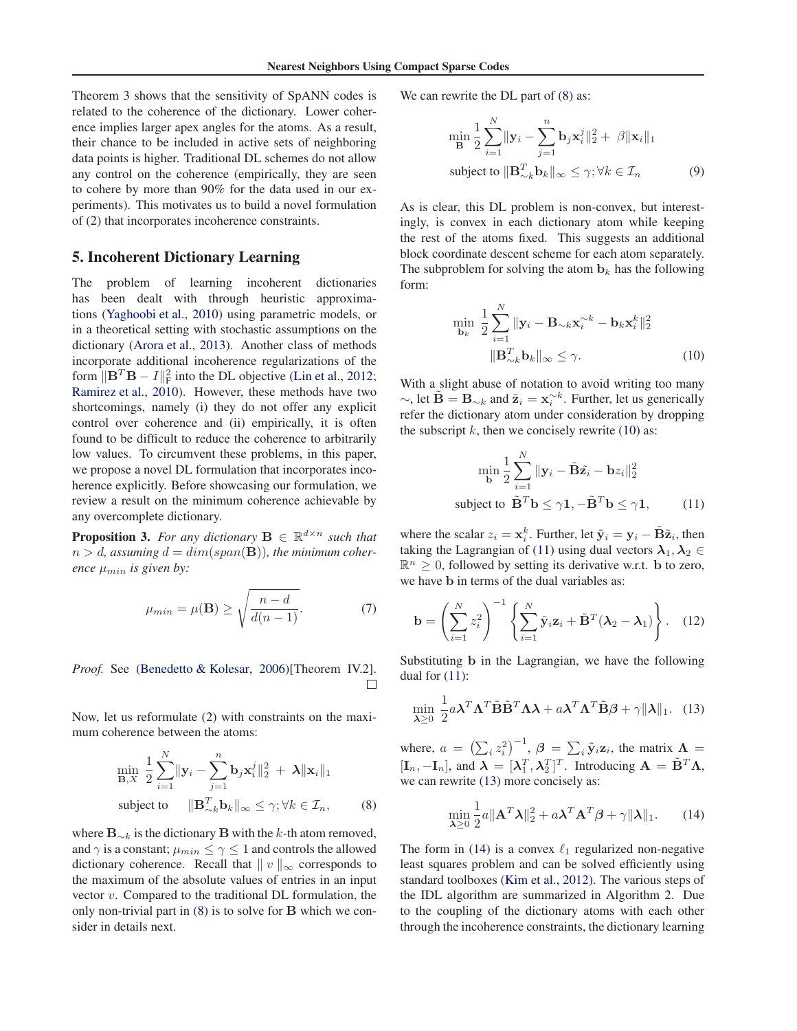<span id="page-4-0"></span>Theorem [3](#page-3-0) shows that the sensitivity of SpANN codes is related to the coherence of the dictionary. Lower coherence implies larger apex angles for the atoms. As a result, their chance to be included in active sets of neighboring data points is higher. Traditional DL schemes do not allow any control on the coherence (empirically, they are seen to cohere by more than 90% for the data used in our experiments). This motivates us to build a novel formulation of [\(2\)](#page-2-0) that incorporates incoherence constraints.

#### **5. Incoherent Dictionary Learning**

The problem of learning incoherent dictionaries has been dealt with through heuristic approximations [\(Yaghoobi et al.,](#page-8-0) [2010\)](#page-8-0) using parametric models, or in a theoretical setting with stochastic assumptions on the dictionary [\(Arora et al.,](#page-7-0) [2013](#page-7-0)). Another class of methods incorporate additional incoherence regularizations of the form  $\|\mathbf{B}^T\mathbf{B} - I\|_{\text{F}}^2$  into the DL objective [\(Lin et al.,](#page-8-0) [2012;](#page-8-0) [Ramirez et al.](#page-8-0), [2010](#page-8-0)). However, these methods have two shortcomings, namely (i) they do not offer any explicit control over coherence and (ii) empirically, it is often found to be difficult to reduce the coherence to arbitrarily low values. To circumvent these problems, in this paper, we propose a novel DL formulation that incorporates incoherence explicitly. Before showcasing our formulation, we review a result on the minimum coherence achievable by any overcomplete dictionary.

**Proposition 3.** For any dictionary  $\mathbf{B} \in \mathbb{R}^{d \times n}$  such that  $n > d$ , assuming  $d = dim(span(\mathbf{B}))$ , the minimum coher*ence*  $\mu_{min}$  *is given by:* 

$$
\mu_{min} = \mu(\mathbf{B}) \ge \sqrt{\frac{n-d}{d(n-1)}}.
$$
 (7)

*Proof.* See [\(Benedetto & Kolesar,](#page-7-0) [2006](#page-7-0))[Theorem IV.2].  $\Box$ 

Now, let us reformulate [\(2\)](#page-2-0) with constraints on the maximum coherence between the atoms:

$$
\min_{\mathbf{B}, X} \frac{1}{2} \sum_{i=1}^{N} \|\mathbf{y}_i - \sum_{j=1}^{n} \mathbf{b}_j \mathbf{x}_i^j\|_2^2 + \lambda \|\mathbf{x}_i\|_1
$$
  
subject to 
$$
\|\mathbf{B}_{\sim k}^T \mathbf{b}_k\|_{\infty} \le \gamma; \forall k \in \mathcal{I}_n,
$$
 (8)

where  $\mathbf{B}_{\sim k}$  is the dictionary B with the k-th atom removed, and  $\gamma$  is a constant;  $\mu_{min} \leq \gamma \leq 1$  and controls the allowed dictionary coherence. Recall that  $|| v ||_{\infty}$  corresponds to the maximum of the absolute values of entries in an input vector  $v$ . Compared to the traditional DL formulation, the only non-trivial part in (8) is to solve for B which we consider in details next.

We can rewrite the DL part of  $(8)$  as:

$$
\min_{\mathbf{B}} \frac{1}{2} \sum_{i=1}^{N} \|\mathbf{y}_i - \sum_{j=1}^{n} \mathbf{b}_j \mathbf{x}_i^j\|_2^2 + \beta \|\mathbf{x}_i\|_1
$$
  
subject to 
$$
\|\mathbf{B}_{\sim k}^T \mathbf{b}_k\|_{\infty} \le \gamma; \forall k \in \mathcal{I}_n
$$
 (9)

As is clear, this DL problem is non-convex, but interestingly, is convex in each dictionary atom while keeping the rest of the atoms fixed. This suggests an additional block coordinate descent scheme for each atom separately. The subproblem for solving the atom  $\mathbf{b}_k$  has the following form:

$$
\min_{\mathbf{b}_k} \frac{1}{2} \sum_{i=1}^N \|\mathbf{y}_i - \mathbf{B}_{\sim k} \mathbf{x}_i^{\sim k} - \mathbf{b}_k \mathbf{x}_i^k\|_2^2
$$

$$
\|\mathbf{B}_{\sim k}^T \mathbf{b}_k\|_{\infty} \le \gamma.
$$
 (10)

With a slight abuse of notation to avoid writing too many  $\sim$ , let  $\tilde{\mathbf{B}} = \mathbf{B}_{\sim k}$  and  $\tilde{\mathbf{z}}_i = \mathbf{x}_i^{\sim k}$ . Further, let us generically refer the dictionary atom under consideration by dropping the subscript  $k$ , then we concisely rewrite (10) as:

$$
\min_{\mathbf{b}} \frac{1}{2} \sum_{i=1}^{N} \|\mathbf{y}_i - \tilde{\mathbf{B}} \tilde{\mathbf{z}}_i - \mathbf{b} z_i\|_2^2
$$
\nsubject to 
$$
\tilde{\mathbf{B}}^T \mathbf{b} \le \gamma \mathbf{1}, -\tilde{\mathbf{B}}^T \mathbf{b} \le \gamma \mathbf{1}, \qquad (11)
$$

where the scalar  $z_i = \mathbf{x}_i^k$ . Further, let  $\tilde{\mathbf{y}}_i = \mathbf{y}_i - \tilde{\mathbf{B}} \tilde{\mathbf{z}}_i$ , then taking the Lagrangian of (11) using dual vectors  $\lambda_1, \lambda_2 \in$  $\mathbb{R}^n \geq 0$ , followed by setting its derivative w.r.t. b to zero, we have b in terms of the dual variables as:

$$
\mathbf{b} = \left(\sum_{i=1}^{N} z_i^2\right)^{-1} \left\{\sum_{i=1}^{N} \tilde{\mathbf{y}}_i \mathbf{z}_i + \tilde{\mathbf{B}}^T (\boldsymbol{\lambda}_2 - \boldsymbol{\lambda}_1) \right\}.
$$
 (12)

Substituting b in the Lagrangian, we have the following dual for  $(11)$ :

$$
\min_{\lambda \ge 0} \frac{1}{2} a \lambda^T \Lambda^T \tilde{\mathbf{B}} \tilde{\mathbf{B}}^T \Lambda \lambda + a \lambda^T \Lambda^T \tilde{\mathbf{B}} \beta + \gamma \|\lambda\|_1. \quad (13)
$$

where,  $a = (\sum_i z_i^2)^{-1}$ ,  $\boldsymbol{\beta} = \sum_i \tilde{\mathbf{y}}_i \mathbf{z}_i$ , the matrix  $\boldsymbol{\Lambda} =$  $[\mathbf{I}_n, -\mathbf{I}_n]$ , and  $\boldsymbol{\lambda} = [\lambda_1^T, \lambda_2^T]^T$ . Introducing  $\mathbf{A} = \tilde{\mathbf{B}}^T \boldsymbol{\Lambda}$ , we can rewrite  $(13)$  more concisely as:

$$
\min_{\lambda \ge 0} \frac{1}{2} a \|\mathbf{A}^T \boldsymbol{\lambda}\|_2^2 + a \boldsymbol{\lambda}^T \mathbf{A}^T \boldsymbol{\beta} + \gamma \|\boldsymbol{\lambda}\|_1. \tag{14}
$$

The form in (14) is a convex  $\ell_1$  regularized non-negative least squares problem and can be solved efficiently using standard toolboxes [\(Kim et al.,](#page-8-0) [2012](#page-8-0)). The various steps of the IDL algorithm are summarized in Algorithm [2.](#page-5-0) Due to the coupling of the dictionary atoms with each other through the incoherence constraints, the dictionary learning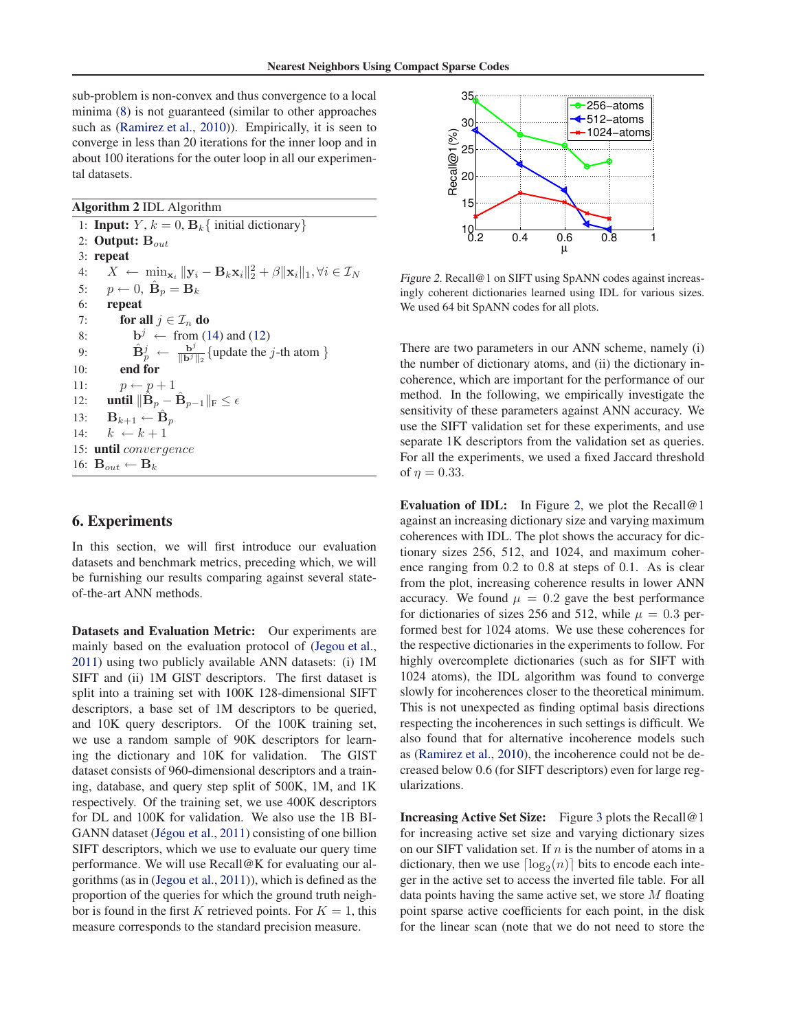<span id="page-5-0"></span>sub-problem is non-convex and thus convergence to a local minima [\(8\)](#page-4-0) is not guaranteed (similar to other approaches such as [\(Ramirez et al.,](#page-8-0) [2010\)](#page-8-0)). Empirically, it is seen to converge in less than 20 iterations for the inner loop and in about 100 iterations for the outer loop in all our experimental datasets.

**Algorithm 2** IDL Algorithm

1: **Input:**  $Y, k = 0, B_k$  { initial dictionary} 2: **Output:**  $B_{out}$ 3: **repeat** 4:  $X \leftarrow \min_{\mathbf{x}_i} ||\mathbf{y}_i - \mathbf{B}_k \mathbf{x}_i||_2^2 + \beta ||\mathbf{x}_i||_1, \forall i \in \mathcal{I}_N$ 5:  $p \leftarrow 0$ ,  $\hat{\mathbf{B}}_p = \mathbf{B}_k$ 6: **repeat** 7: **for all**  $j \in \mathcal{I}_n$  **do** 8:  $\mathbf{b}^j \leftarrow \text{from (14) and (12)}$  $\mathbf{b}^j \leftarrow \text{from (14) and (12)}$  $\mathbf{b}^j \leftarrow \text{from (14) and (12)}$  $\mathbf{b}^j \leftarrow \text{from (14) and (12)}$  $\mathbf{b}^j \leftarrow \text{from (14) and (12)}$ 9:  $\hat{\mathbf{B}}_p^j \leftarrow \frac{\mathbf{b}^j}{\|\mathbf{b}^j\|_2} \{\text{update the } j\text{-th atom }\}$ 10: **end for** 11:  $p \leftarrow p + 1$ 12: **until**  $\|\hat{\mathbf{B}}_p - \hat{\mathbf{B}}_{p-1}\|_{\text{F}} \leq \epsilon$ 13:  $\mathbf{B}_{k+1} \leftarrow \hat{\mathbf{B}}_p$ 14:  $k \leftarrow k + 1$ 15: **until** convergence 16:  $\mathbf{B}_{out} \leftarrow \mathbf{B}_k$ 

### **6. Experiments**

In this section, we will first introduce our evaluation datasets and benchmark metrics, preceding which, we will be furnishing our results comparing against several stateof-the-art ANN methods.

**Datasets and Evaluation Metric:** Our experiments are mainly based on the evaluation protocol of [\(Jegou et al.,](#page-8-0) [2011](#page-8-0)) using two publicly available ANN datasets: (i) 1M SIFT and (ii) 1M GIST descriptors. The first dataset is split into a training set with 100K 128-dimensional SIFT descriptors, a base set of 1M descriptors to be queried, and 10K query descriptors. Of the 100K training set, we use a random sample of 90K descriptors for learning the dictionary and 10K for validation. The GIST dataset consists of 960-dimensional descriptors and a training, database, and query step split of 500K, 1M, and 1K respectively. Of the training set, we use 400K descriptors for DL and 100K for validation. We also use the 1B BI-GANN dataset (Jégou et al., [2011\)](#page-8-0) consisting of one billion SIFT descriptors, which we use to evaluate our query time performance. We will use Recall@K for evaluating our algorithms (as in [\(Jegou et al.,](#page-8-0) [2011](#page-8-0))), which is defined as the proportion of the queries for which the ground truth neighbor is found in the first K retrieved points. For  $K = 1$ , this measure corresponds to the standard precision measure.



Figure 2. Recall@1 on SIFT using SpANN codes against increasingly coherent dictionaries learned using IDL for various sizes. We used 64 bit SpANN codes for all plots.

There are two parameters in our ANN scheme, namely (i) the number of dictionary atoms, and (ii) the dictionary incoherence, which are important for the performance of our method. In the following, we empirically investigate the sensitivity of these parameters against ANN accuracy. We use the SIFT validation set for these experiments, and use separate 1K descriptors from the validation set as queries. For all the experiments, we used a fixed Jaccard threshold of  $\eta = 0.33$ .

**Evaluation of IDL:** In Figure 2, we plot the Recall@1 against an increasing dictionary size and varying maximum coherences with IDL. The plot shows the accuracy for dictionary sizes 256, 512, and 1024, and maximum coherence ranging from 0.2 to 0.8 at steps of 0.1. As is clear from the plot, increasing coherence results in lower ANN accuracy. We found  $\mu = 0.2$  gave the best performance for dictionaries of sizes 256 and 512, while  $\mu = 0.3$  performed best for 1024 atoms. We use these coherences for the respective dictionaries in the experiments to follow. For highly overcomplete dictionaries (such as for SIFT with 1024 atoms), the IDL algorithm was found to converge slowly for incoherences closer to the theoretical minimum. This is not unexpected as finding optimal basis directions respecting the incoherences in such settings is difficult. We also found that for alternative incoherence models such as [\(Ramirez et al.](#page-8-0), [2010](#page-8-0)), the incoherence could not be decreased below 0.6 (for SIFT descriptors) even for large regularizations.

**Increasing Active Set Size:** Figure [3](#page-6-0) plots the Recall@1 for increasing active set size and varying dictionary sizes on our SIFT validation set. If  $n$  is the number of atoms in a dictionary, then we use  $\lceil \log_2(n) \rceil$  bits to encode each integer in the active set to access the inverted file table. For all data points having the same active set, we store  $M$  floating point sparse active coefficients for each point, in the disk for the linear scan (note that we do not need to store the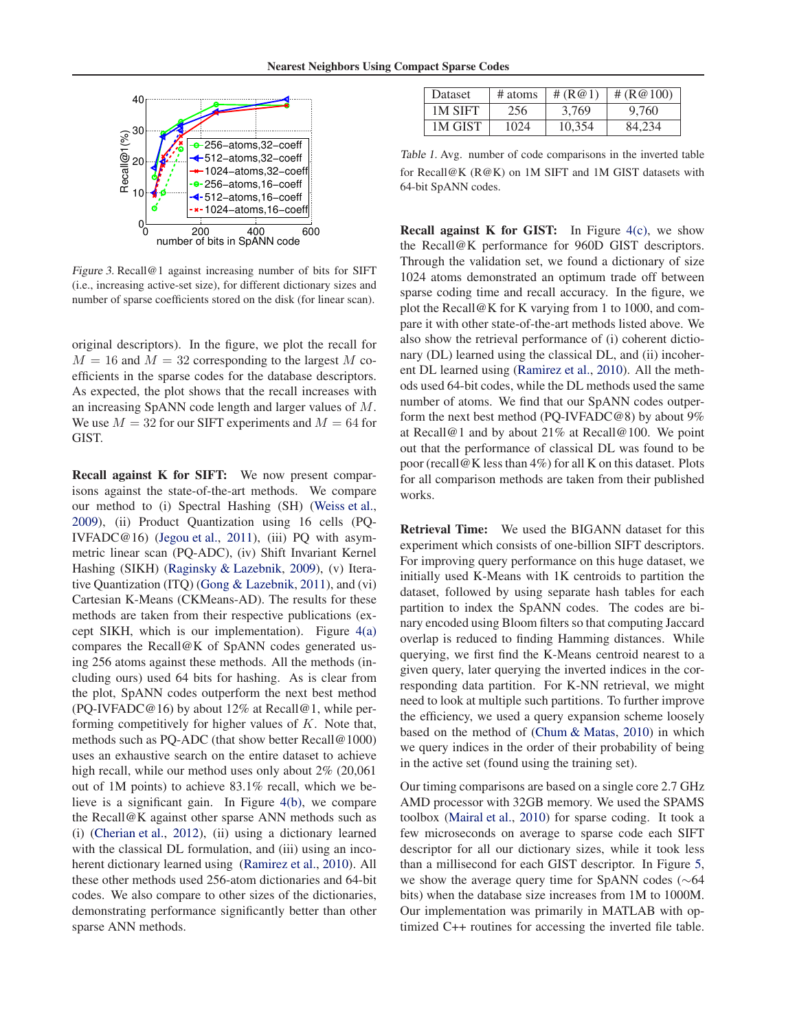<span id="page-6-0"></span>

Figure 3. Recall@1 against increasing number of bits for SIFT (i.e., increasing active-set size), for different dictionary sizes and number of sparse coefficients stored on the disk (for linear scan).

original descriptors). In the figure, we plot the recall for  $M = 16$  and  $M = 32$  corresponding to the largest M coefficients in the sparse codes for the database descriptors. As expected, the plot shows that the recall increases with an increasing SpANN code length and larger values of M. We use  $M = 32$  for our SIFT experiments and  $M = 64$  for GIST.

**Recall against K for SIFT:** We now present comparisons against the state-of-the-art methods. We compare our method to (i) Spectral Hashing (SH) [\(Weiss et al.,](#page-8-0) [2009](#page-8-0)), (ii) Product Quantization using 16 cells (PQ-IVFADC@16) [\(Jegou et al.](#page-8-0), [2011](#page-8-0)), (iii) PQ with asymmetric linear scan (PQ-ADC), (iv) Shift Invariant Kernel Hashing (SIKH) [\(Raginsky & Lazebnik,](#page-8-0) [2009\)](#page-8-0), (v) Iterative Quantization (ITQ) [\(Gong & Lazebnik](#page-8-0), [2011\)](#page-8-0), and (vi) Cartesian K-Means (CKMeans-AD). The results for these methods are taken from their respective publications (except SIKH, which is our implementation). Figure  $4(a)$ compares the Recall@K of SpANN codes generated using 256 atoms against these methods. All the methods (including ours) used 64 bits for hashing. As is clear from the plot, SpANN codes outperform the next best method (PQ-IVFADC@16) by about 12% at Recall@1, while performing competitively for higher values of  $K$ . Note that, methods such as PQ-ADC (that show better Recall@1000) uses an exhaustive search on the entire dataset to achieve high recall, while our method uses only about 2% (20,061 out of 1M points) to achieve 83.1% recall, which we believe is a significant gain. In Figure [4\(b\),](#page-7-0) we compare the Recall@K against other sparse ANN methods such as (i) [\(Cherian et al.](#page-8-0), [2012\)](#page-8-0), (ii) using a dictionary learned with the classical DL formulation, and (iii) using an incoherent dictionary learned using [\(Ramirez et al.,](#page-8-0) [2010\)](#page-8-0). All these other methods used 256-atom dictionaries and 64-bit codes. We also compare to other sizes of the dictionaries, demonstrating performance significantly better than other sparse ANN methods.

| <b>Dataset</b> | # atoms | # $($ R@1) | # $(R@100)$ |
|----------------|---------|------------|-------------|
| <b>1M SIFT</b> | 256     | 3.769      | 9.760       |
| 1M GIST        | 1024    | 10.354     | 84.234      |

Table 1. Avg. number of code comparisons in the inverted table for Recall@K (R@K) on 1M SIFT and 1M GIST datasets with 64-bit SpANN codes.

**Recall against K for GIST:** In Figure [4\(c\),](#page-7-0) we show the Recall@K performance for 960D GIST descriptors. Through the validation set, we found a dictionary of size 1024 atoms demonstrated an optimum trade off between sparse coding time and recall accuracy. In the figure, we plot the Recall@K for K varying from 1 to 1000, and compare it with other state-of-the-art methods listed above. We also show the retrieval performance of (i) coherent dictionary (DL) learned using the classical DL, and (ii) incoherent DL learned using [\(Ramirez et al.](#page-8-0), [2010](#page-8-0)). All the methods used 64-bit codes, while the DL methods used the same number of atoms. We find that our SpANN codes outperform the next best method (PQ-IVFADC@8) by about 9% at Recall@1 and by about 21% at Recall@100. We point out that the performance of classical DL was found to be poor (recall@K less than 4%) for all K on this dataset. Plots for all comparison methods are taken from their published works.

**Retrieval Time:** We used the BIGANN dataset for this experiment which consists of one-billion SIFT descriptors. For improving query performance on this huge dataset, we initially used K-Means with 1K centroids to partition the dataset, followed by using separate hash tables for each partition to index the SpANN codes. The codes are binary encoded using Bloom filters so that computing Jaccard overlap is reduced to finding Hamming distances. While querying, we first find the K-Means centroid nearest to a given query, later querying the inverted indices in the corresponding data partition. For K-NN retrieval, we might need to look at multiple such partitions. To further improve the efficiency, we used a query expansion scheme loosely based on the method of [\(Chum & Matas,](#page-8-0) [2010\)](#page-8-0) in which we query indices in the order of their probability of being in the active set (found using the training set).

Our timing comparisons are based on a single core 2.7 GHz AMD processor with 32GB memory. We used the SPAMS toolbox [\(Mairal et al.](#page-8-0), [2010](#page-8-0)) for sparse coding. It took a few microseconds on average to sparse code each SIFT descriptor for all our dictionary sizes, while it took less than a millisecond for each GIST descriptor. In Figure [5,](#page-7-0) we show the average query time for SpANN codes (∼64 bits) when the database size increases from 1M to 1000M. Our implementation was primarily in MATLAB with optimized C++ routines for accessing the inverted file table.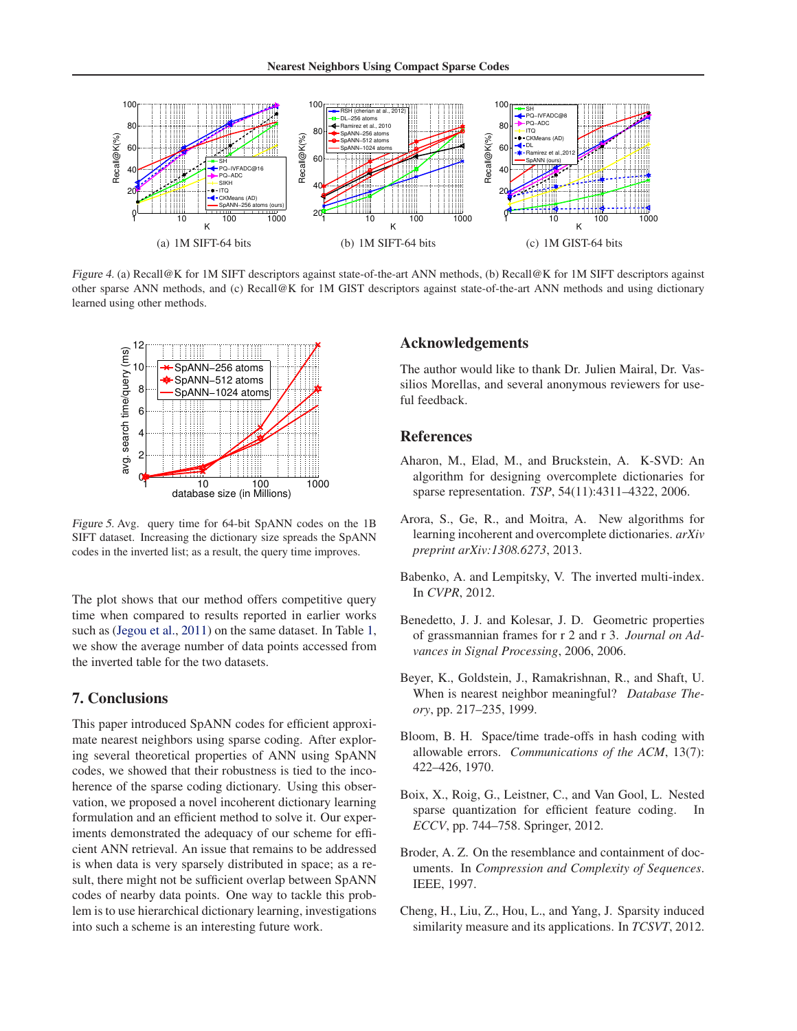<span id="page-7-0"></span>

Figure 4. (a) Recall@K for 1M SIFT descriptors against state-of-the-art ANN methods, (b) Recall@K for 1M SIFT descriptors against other sparse ANN methods, and (c) Recall@K for 1M GIST descriptors against state-of-the-art ANN methods and using dictionary learned using other methods.



Figure 5. Avg. query time for 64-bit SpANN codes on the 1B SIFT dataset. Increasing the dictionary size spreads the SpANN codes in the inverted list; as a result, the query time improves.

The plot shows that our method offers competitive query time when compared to results reported in earlier works such as [\(Jegou et al.,](#page-8-0) [2011](#page-8-0)) on the same dataset. In Table [1,](#page-6-0) we show the average number of data points accessed from the inverted table for the two datasets.

#### **7. Conclusions**

This paper introduced SpANN codes for efficient approximate nearest neighbors using sparse coding. After exploring several theoretical properties of ANN using SpANN codes, we showed that their robustness is tied to the incoherence of the sparse coding dictionary. Using this observation, we proposed a novel incoherent dictionary learning formulation and an efficient method to solve it. Our experiments demonstrated the adequacy of our scheme for efficient ANN retrieval. An issue that remains to be addressed is when data is very sparsely distributed in space; as a result, there might not be sufficient overlap between SpANN codes of nearby data points. One way to tackle this problem is to use hierarchical dictionary learning, investigations into such a scheme is an interesting future work.

#### **Acknowledgements**

The author would like to thank Dr. Julien Mairal, Dr. Vassilios Morellas, and several anonymous reviewers for useful feedback.

#### **References**

- Aharon, M., Elad, M., and Bruckstein, A. K-SVD: An algorithm for designing overcomplete dictionaries for sparse representation. *TSP*, 54(11):4311–4322, 2006.
- Arora, S., Ge, R., and Moitra, A. New algorithms for learning incoherent and overcomplete dictionaries. *arXiv preprint arXiv:1308.6273*, 2013.
- Babenko, A. and Lempitsky, V. The inverted multi-index. In *CVPR*, 2012.
- Benedetto, J. J. and Kolesar, J. D. Geometric properties of grassmannian frames for r 2 and r 3. *Journal on Advances in Signal Processing*, 2006, 2006.
- Beyer, K., Goldstein, J., Ramakrishnan, R., and Shaft, U. When is nearest neighbor meaningful? *Database Theory*, pp. 217–235, 1999.
- Bloom, B. H. Space/time trade-offs in hash coding with allowable errors. *Communications of the ACM*, 13(7): 422–426, 1970.
- Boix, X., Roig, G., Leistner, C., and Van Gool, L. Nested sparse quantization for efficient feature coding. In *ECCV*, pp. 744–758. Springer, 2012.
- Broder, A. Z. On the resemblance and containment of documents. In *Compression and Complexity of Sequences*. IEEE, 1997.
- Cheng, H., Liu, Z., Hou, L., and Yang, J. Sparsity induced similarity measure and its applications. In *TCSVT*, 2012.